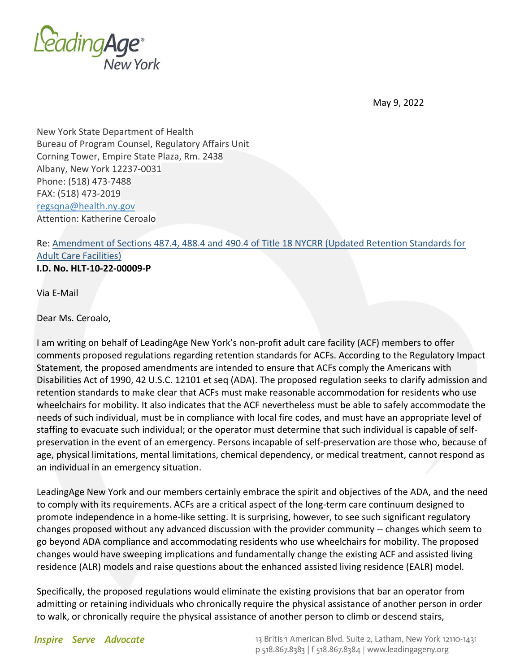

May 9, 2022

New York State Department of Health Bureau of Program Counsel, Regulatory Affairs Unit Corning Tower, Empire State Plaza, Rm. 2438 Albany, New York 12237-0031 Phone: (518) 473-7488 FAX: (518) 473-2019 [regsqna@health.ny.gov](mailto:regsqna@health.ny.gov) Attention: Katherine Ceroalo

## Re: [Amendment of Sections 487.4, 488.4 and 490.4 of Title 18 NYCRR \(Updated Retention Standards for](https://regs.health.ny.gov/sites/default/files/proposed-regulations/Updated%20Retention%20Standards%20for%20Adult%20Care%20Facilities.pdf)  [Adult Care Facilities\)](https://regs.health.ny.gov/sites/default/files/proposed-regulations/Updated%20Retention%20Standards%20for%20Adult%20Care%20Facilities.pdf) **I.D. No. HLT-10-22-00009-P**

Via E-Mail

Dear Ms. Ceroalo,

I am writing on behalf of LeadingAge New York's non-profit adult care facility (ACF) members to offer comments proposed regulations regarding retention standards for ACFs. According to the Regulatory Impact Statement, the proposed amendments are intended to ensure that ACFs comply the Americans with Disabilities Act of 1990, 42 U.S.C. 12101 et seq (ADA). The proposed regulation seeks to clarify admission and retention standards to make clear that ACFs must make reasonable accommodation for residents who use wheelchairs for mobility. It also indicates that the ACF nevertheless must be able to safely accommodate the needs of such individual, must be in compliance with local fire codes, and must have an appropriate level of staffing to evacuate such individual; or the operator must determine that such individual is capable of selfpreservation in the event of an emergency. Persons incapable of self-preservation are those who, because of age, physical limitations, mental limitations, chemical dependency, or medical treatment, cannot respond as an individual in an emergency situation.

LeadingAge New York and our members certainly embrace the spirit and objectives of the ADA, and the need to comply with its requirements. ACFs are a critical aspect of the long-term care continuum designed to promote independence in a home-like setting. It is surprising, however, to see such significant regulatory changes proposed without any advanced discussion with the provider community -- changes which seem to go beyond ADA compliance and accommodating residents who use wheelchairs for mobility. The proposed changes would have sweeping implications and fundamentally change the existing ACF and assisted living residence (ALR) models and raise questions about the enhanced assisted living residence (EALR) model.

Specifically, the proposed regulations would eliminate the existing provisions that bar an operator from admitting or retaining individuals who chronically require the physical assistance of another person in order to walk, or chronically require the physical assistance of another person to climb or descend stairs,

**Inspire Serve Advocate**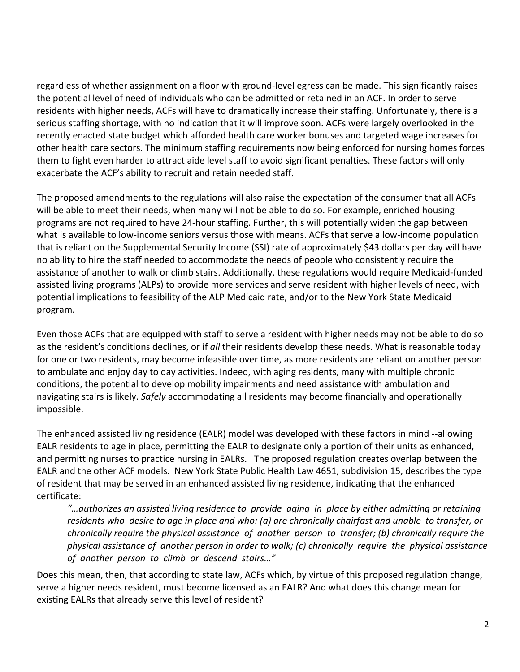regardless of whether assignment on a floor with ground-level egress can be made. This significantly raises the potential level of need of individuals who can be admitted or retained in an ACF. In order to serve residents with higher needs, ACFs will have to dramatically increase their staffing. Unfortunately, there is a serious staffing shortage, with no indication that it will improve soon. ACFs were largely overlooked in the recently enacted state budget which afforded health care worker bonuses and targeted wage increases for other health care sectors. The minimum staffing requirements now being enforced for nursing homes forces them to fight even harder to attract aide level staff to avoid significant penalties. These factors will only exacerbate the ACF's ability to recruit and retain needed staff.

The proposed amendments to the regulations will also raise the expectation of the consumer that all ACFs will be able to meet their needs, when many will not be able to do so. For example, enriched housing programs are not required to have 24-hour staffing. Further, this will potentially widen the gap between what is available to low-income seniors versus those with means. ACFs that serve a low-income population that is reliant on the Supplemental Security Income (SSI) rate of approximately \$43 dollars per day will have no ability to hire the staff needed to accommodate the needs of people who consistently require the assistance of another to walk or climb stairs. Additionally, these regulations would require Medicaid-funded assisted living programs (ALPs) to provide more services and serve resident with higher levels of need, with potential implications to feasibility of the ALP Medicaid rate, and/or to the New York State Medicaid program.

Even those ACFs that are equipped with staff to serve a resident with higher needs may not be able to do so as the resident's conditions declines, or if *all* their residents develop these needs. What is reasonable today for one or two residents, may become infeasible over time, as more residents are reliant on another person to ambulate and enjoy day to day activities. Indeed, with aging residents, many with multiple chronic conditions, the potential to develop mobility impairments and need assistance with ambulation and navigating stairs is likely. *Safely* accommodating all residents may become financially and operationally impossible.

The enhanced assisted living residence (EALR) model was developed with these factors in mind --allowing EALR residents to age in place, permitting the EALR to designate only a portion of their units as enhanced, and permitting nurses to practice nursing in EALRs. The proposed regulation creates overlap between the EALR and the other ACF models. New York State Public Health Law 4651, subdivision 15, describes the type of resident that may be served in an enhanced assisted living residence, indicating that the enhanced certificate:

*"…authorizes an assisted living residence to provide aging in place by either admitting or retaining residents who desire to age in place and who: (a) are chronically chairfast and unable to transfer, or chronically require the physical assistance of another person to transfer; (b) chronically require the physical assistance of another person in order to walk; (c) chronically require the physical assistance of another person to climb or descend stairs…"*

Does this mean, then, that according to state law, ACFs which, by virtue of this proposed regulation change, serve a higher needs resident, must become licensed as an EALR? And what does this change mean for existing EALRs that already serve this level of resident?